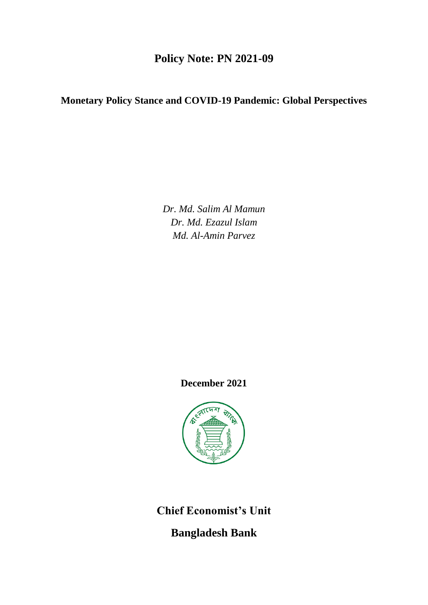# **Policy Note: PN 2021-09**

# **Monetary Policy Stance and COVID-19 Pandemic: Global Perspectives**

*Dr. Md. Salim Al Mamun Dr. Md. Ezazul Islam Md. Al-Amin Parvez*

**December 2021**



**Chief Economist's Unit**

**Bangladesh Bank**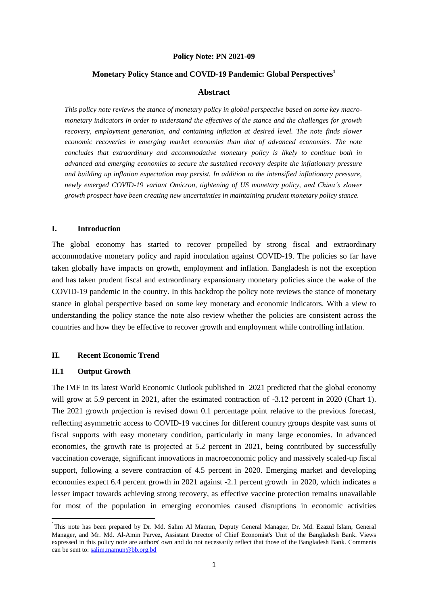#### **Policy Note: PN 2021-09**

#### **Monetary Policy Stance and COVID-19 Pandemic: Global Perspectives<sup>1</sup>**

### **Abstract**

*This policy note reviews the stance of monetary policy in global perspective based on some key macromonetary indicators in order to understand the effectives of the stance and the challenges for growth recovery, employment generation, and containing inflation at desired level. The note finds slower economic recoveries in emerging market economies than that of advanced economies. The note concludes that extraordinary and accommodative monetary policy is likely to continue both in advanced and emerging economies to secure the sustained recovery despite the inflationary pressure and building up inflation expectation may persist. In addition to the intensified inflationary pressure, newly emerged COVID-19 variant Omicron, tightening of US monetary policy, and China's slower growth prospect have been creating new uncertainties in maintaining prudent monetary policy stance.*

## **I. Introduction**

The global economy has started to recover propelled by strong fiscal and extraordinary accommodative monetary policy and rapid inoculation against COVID-19. The policies so far have taken globally have impacts on growth, employment and inflation. Bangladesh is not the exception and has taken prudent fiscal and extraordinary expansionary monetary policies since the wake of the COVID-19 pandemic in the country. In this backdrop the policy note reviews the stance of monetary stance in global perspective based on some key monetary and economic indicators. With a view to understanding the policy stance the note also review whether the policies are consistent across the countries and how they be effective to recover growth and employment while controlling inflation.

# **II. Recent Economic Trend**

#### **II.1 Output Growth**

1

The IMF in its latest World Economic Outlook published in 2021 predicted that the global economy will grow at 5.9 percent in 2021, after the estimated contraction of  $-3.12$  percent in 2020 (Chart 1). The 2021 growth projection is revised down 0.1 percentage point relative to the previous forecast, reflecting asymmetric access to COVID-19 vaccines for different country groups despite vast sums of fiscal supports with easy monetary condition, particularly in many large economies. In advanced economies, the growth rate is projected at 5.2 percent in 2021, being contributed by successfully vaccination coverage, significant innovations in macroeconomic policy and massively scaled-up fiscal support, following a severe contraction of 4.5 percent in 2020. Emerging market and developing economies expect 6.4 percent growth in 2021 against -2.1 percent growth in 2020, which indicates a lesser impact towards achieving strong recovery, as effective vaccine protection remains unavailable for most of the population in emerging economies caused disruptions in economic activities

<sup>&</sup>lt;sup>1</sup>This note has been prepared by Dr. Md. Salim Al Mamun, Deputy General Manager, Dr. Md. Ezazul Islam, General Manager, and Mr. Md. Al-Amin Parvez, Assistant Director of Chief Economist's Unit of the Bangladesh Bank. Views expressed in this policy note are authors' own and do not necessarily reflect that those of the Bangladesh Bank. Comments can be sent to: [salim.mamun@bb.org.bd](mailto:salim.mamun@bb.org.bd)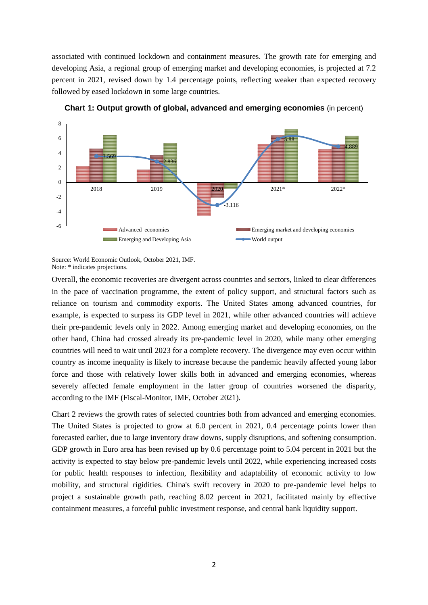associated with continued lockdown and containment measures. The growth rate for emerging and developing Asia, a regional group of emerging market and developing economies, is projected at 7.2 percent in 2021, revised down by 1.4 percentage points, reflecting weaker than expected recovery followed by eased lockdown in some large countries.



**Chart 1: Output growth of global, advanced and emerging economies** (in percent)

Overall, the economic recoveries are divergent across countries and sectors, linked to clear differences in the pace of vaccination programme, the extent of policy support, and structural factors such as reliance on tourism and commodity exports. The United States among advanced countries, for example, is expected to surpass its GDP level in 2021, while other advanced countries will achieve their pre-pandemic levels only in 2022. Among emerging market and developing economies, on the other hand, China had crossed already its pre-pandemic level in 2020, while many other emerging countries will need to wait until 2023 for a complete recovery. The divergence may even occur within country as income inequality is likely to increase because the pandemic heavily affected young labor force and those with relatively lower skills both in advanced and emerging economies, whereas severely affected female employment in the latter group of countries worsened the disparity, according to the IMF (Fiscal-Monitor, IMF, October 2021).

Chart 2 reviews the growth rates of selected countries both from advanced and emerging economies. The United States is projected to grow at 6.0 percent in 2021, 0.4 percentage points lower than forecasted earlier, due to large inventory draw downs, supply disruptions, and softening consumption. GDP growth in Euro area has been revised up by 0.6 percentage point to 5.04 percent in 2021 but the activity is expected to stay below pre-pandemic levels until 2022, while experiencing increased costs for public health responses to infection, flexibility and adaptability of economic activity to low mobility, and structural rigidities. China's swift recovery in 2020 to pre-pandemic level helps to project a sustainable growth path, reaching 8.02 percent in 2021, facilitated mainly by effective containment measures, a forceful public investment response, and central bank liquidity support.

Source: World Economic Outlook, October 2021, IMF. Note: \* indicates projections.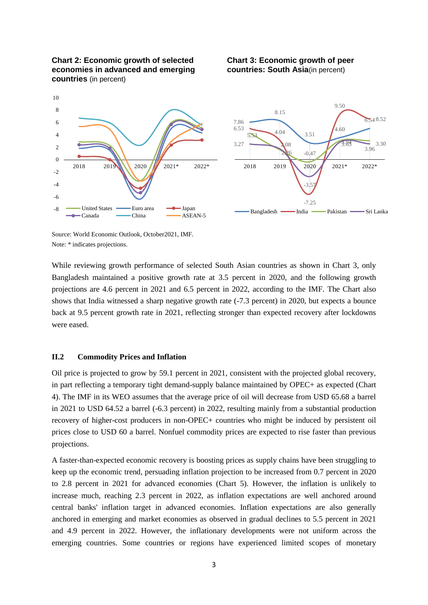

**Chart 3: Economic growth of peer countries: South Asia**(in percent)



Source: World Economic Outlook, October2021, IMF. Note: \* indicates projections.

While reviewing growth performance of selected South Asian countries as shown in Chart 3, only Bangladesh maintained a positive growth rate at 3.5 percent in 2020, and the following growth projections are 4.6 percent in 2021 and 6.5 percent in 2022, according to the IMF. The Chart also shows that India witnessed a sharp negative growth rate (-7.3 percent) in 2020, but expects a bounce back at 9.5 percent growth rate in 2021, reflecting stronger than expected recovery after lockdowns were eased.

# **II.2 Commodity Prices and Inflation**

Oil price is projected to grow by 59.1 percent in 2021, consistent with the projected global recovery, in part reflecting a temporary tight demand-supply balance maintained by OPEC+ as expected (Chart 4). The IMF in its WEO assumes that the average price of oil will decrease from USD 65.68 a barrel in 2021 to USD 64.52 a barrel (-6.3 percent) in 2022, resulting mainly from a substantial production recovery of higher-cost producers in non-OPEC+ countries who might be induced by persistent oil prices close to USD 60 a barrel. Nonfuel commodity prices are expected to rise faster than previous projections.

A faster-than-expected economic recovery is boosting prices as supply chains have been struggling to keep up the economic trend, persuading inflation projection to be increased from 0.7 percent in 2020 to 2.8 percent in 2021 for advanced economies (Chart 5). However, the inflation is unlikely to increase much, reaching 2.3 percent in 2022, as inflation expectations are well anchored around central banks' inflation target in advanced economies. Inflation expectations are also generally anchored in emerging and market economies as observed in gradual declines to 5.5 percent in 2021 and 4.9 percent in 2022. However, the inflationary developments were not uniform across the emerging countries. Some countries or regions have experienced limited scopes of monetary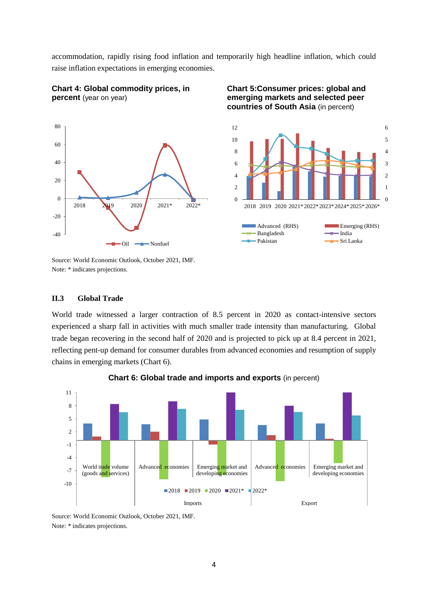accommodation, rapidly rising food inflation and temporarily high headline inflation, which could raise inflation expectations in emerging economies.

12



**Chart 4: Global commodity prices, in** 

**percent** (year on year)

**Chart 5:Consumer prices: global and emerging markets and selected peer countries of South Asia** (in percent)

6



Source: World Economic Outlook, October 2021, IMF. Note: \* indicates projections.

#### **II.3 Global Trade**

World trade witnessed a larger contraction of 8.5 percent in 2020 as contact-intensive sectors experienced a sharp fall in activities with much smaller trade intensity than manufacturing. Global trade began recovering in the second half of 2020 and is projected to pick up at 8.4 percent in 2021, reflecting pent-up demand for consumer durables from advanced economies and resumption of supply chains in emerging markets (Chart 6).



**Chart 6: Global trade and imports and exports** (in percent)

Source: World Economic Outlook, October 2021, IMF. Note: \* indicates projections.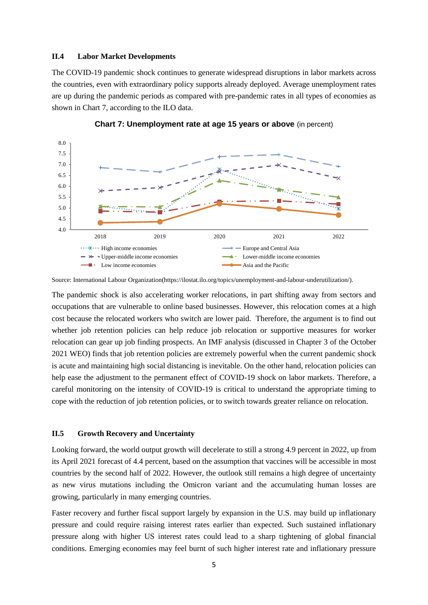#### **II.4 Labor Market Developments**

The COVID-19 pandemic shock continues to generate widespread disruptions in labor markets across the countries, even with extraordinary policy supports already deployed. Average unemployment rates are up during the pandemic periods as compared with pre-pandemic rates in all types of economies as shown in Chart 7, according to the ILO data.



**Chart 7: Unemployment rate at age 15 years or above** (in percent)

Source: International Labour Organization(https://ilostat.ilo.org/topics/unemployment-and-labour-underutilization/).

The pandemic shock is also accelerating worker relocations, in part shifting away from sectors and occupations that are vulnerable to online based businesses. However, this relocation comes at a high cost because the relocated workers who switch are lower paid. Therefore, the argument is to find out whether job retention policies can help reduce job relocation or supportive measures for worker relocation can gear up job finding prospects. An IMF analysis (discussed in Chapter 3 of the October 2021 WEO) finds that job retention policies are extremely powerful when the current pandemic shock is acute and maintaining high social distancing is inevitable. On the other hand, relocation policies can help ease the adjustment to the permanent effect of COVID-19 shock on labor markets. Therefore, a careful monitoring on the intensity of COVID-19 is critical to understand the appropriate timing to cope with the reduction of job retention policies, or to switch towards greater reliance on relocation.

#### **II.5 Growth Recovery and Uncertainty**

Looking forward, the world output growth will decelerate to still a strong 4.9 percent in 2022, up from its April 2021 forecast of 4.4 percent, based on the assumption that vaccines will be accessible in most countries by the second half of 2022. However, the outlook still remains a high degree of uncertainty as new virus mutations including the Omicron variant and the accumulating human losses are growing, particularly in many emerging countries.

Faster recovery and further fiscal support largely by expansion in the U.S. may build up inflationary pressure and could require raising interest rates earlier than expected. Such sustained inflationary pressure along with higher US interest rates could lead to a sharp tightening of global financial conditions. Emerging economies may feel burnt of such higher interest rate and inflationary pressure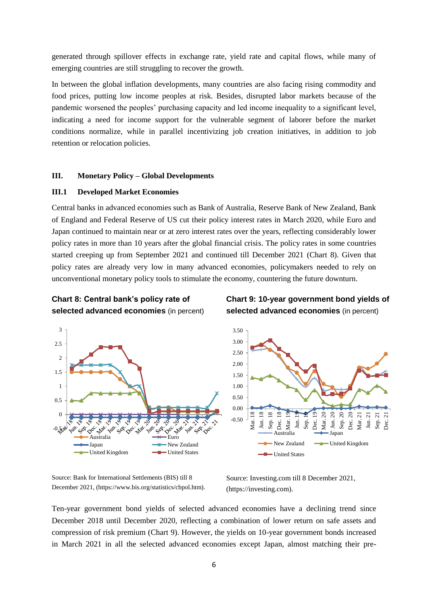generated through spillover effects in exchange rate, yield rate and capital flows, while many of emerging countries are still struggling to recover the growth.

In between the global inflation developments, many countries are also facing rising commodity and food prices, putting low income peoples at risk. Besides, disrupted labor markets because of the pandemic worsened the peoples' purchasing capacity and led income inequality to a significant level, indicating a need for income support for the vulnerable segment of laborer before the market conditions normalize, while in parallel incentivizing job creation initiatives, in addition to job retention or relocation policies.

### **III. Monetary Policy – Global Developments**

### **III.1 Developed Market Economies**

Central banks in advanced economies such as Bank of Australia, Reserve Bank of New Zealand, Bank of England and Federal Reserve of US cut their policy interest rates in March 2020, while Euro and Japan continued to maintain near or at zero interest rates over the years, reflecting considerably lower policy rates in more than 10 years after the global financial crisis. The policy rates in some countries started creeping up from September 2021 and continued till December 2021 (Chart 8). Given that policy rates are already very low in many advanced economies, policymakers needed to rely on unconventional monetary policy tools to stimulate the economy, countering the future downturn.





# **Chart 9: 10-year government bond yields of selected advanced economies** (in percent)



Source: Bank for International Settlements (BIS) till 8 December 2021, (https://www.bis.org/statistics/cbpol.htm).

Source: Investing.com till 8 December 2021, (https://investing.com).

Ten-year government bond yields of selected advanced economies have a declining trend since December 2018 until December 2020, reflecting a combination of lower return on safe assets and compression of risk premium (Chart 9). However, the yields on 10-year government bonds increased in March 2021 in all the selected advanced economies except Japan, almost matching their pre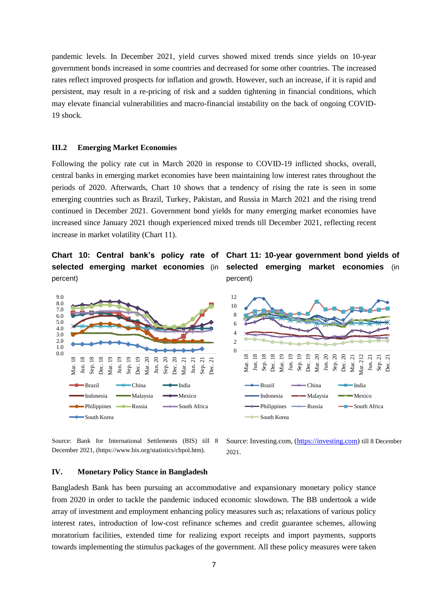pandemic levels. In December 2021, yield curves showed mixed trends since yields on 10-year government bonds increased in some countries and decreased for some other countries. The increased rates reflect improved prospects for inflation and growth. However, such an increase, if it is rapid and persistent, may result in a re-pricing of risk and a sudden tightening in financial conditions, which may elevate financial vulnerabilities and macro-financial instability on the back of ongoing COVID-19 shock.

## **III.2 Emerging Market Economies**

Following the policy rate cut in March 2020 in response to COVID-19 inflicted shocks, overall, central banks in emerging market economies have been maintaining low interest rates throughout the periods of 2020. Afterwards, Chart 10 shows that a tendency of rising the rate is seen in some emerging countries such as Brazil, Turkey, Pakistan, and Russia in March 2021 and the rising trend continued in December 2021. Government bond yields for many emerging market economies have increased since January 2021 though experienced mixed trends till December 2021, reflecting recent increase in market volatility (Chart 11).

**selected emerging market economies** (in percent)





Source: Bank for International Settlements (BIS) till 8 December 2021, (https://www.bis.org/statistics/cbpol.htm).

Source: Investing.com, [\(https://investing.com\)](https://investing.com/) till 8 December 2021.

#### **IV. Monetary Policy Stance in Bangladesh**

Bangladesh Bank has been pursuing an accommodative and expansionary monetary policy stance from 2020 in order to tackle the pandemic induced economic slowdown. The BB undertook a wide array of investment and employment enhancing policy measures such as; relaxations of various policy interest rates, introduction of low-cost refinance schemes and credit guarantee schemes, allowing moratorium facilities, extended time for realizing export receipts and import payments, supports towards implementing the stimulus packages of the government. All these policy measures were taken